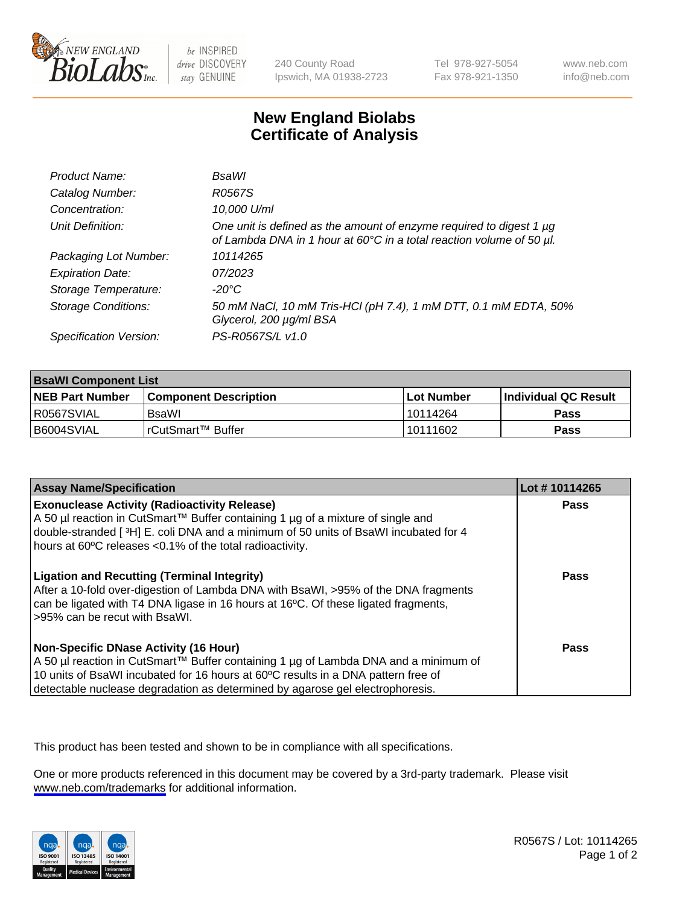

be INSPIRED drive DISCOVERY stay GENUINE

240 County Road Ipswich, MA 01938-2723 Tel 978-927-5054 Fax 978-921-1350

www.neb.com info@neb.com

## **New England Biolabs Certificate of Analysis**

| Product Name:              | <b>BsaWI</b>                                                                                                                                |
|----------------------------|---------------------------------------------------------------------------------------------------------------------------------------------|
| Catalog Number:            | R0567S                                                                                                                                      |
| Concentration:             | 10,000 U/ml                                                                                                                                 |
| Unit Definition:           | One unit is defined as the amount of enzyme required to digest 1 µg<br>of Lambda DNA in 1 hour at 60°C in a total reaction volume of 50 µl. |
| Packaging Lot Number:      | 10114265                                                                                                                                    |
| <b>Expiration Date:</b>    | 07/2023                                                                                                                                     |
| Storage Temperature:       | -20°C                                                                                                                                       |
| <b>Storage Conditions:</b> | 50 mM NaCl, 10 mM Tris-HCl (pH 7.4), 1 mM DTT, 0.1 mM EDTA, 50%<br>Glycerol, 200 µg/ml BSA                                                  |
| Specification Version:     | PS-R0567S/L v1.0                                                                                                                            |

| <b>BsaWI Component List</b> |                         |              |                             |  |
|-----------------------------|-------------------------|--------------|-----------------------------|--|
| <b>NEB Part Number</b>      | l Component Description | l Lot Number | <b>Individual QC Result</b> |  |
| R0567SVIAL                  | BsaWl                   | l 10114264   | Pass                        |  |
| B6004SVIAL                  | I rCutSmart™ Buffer_    | 10111602     | Pass                        |  |

| <b>Assay Name/Specification</b>                                                                                                                                                                                                                                                                           | Lot #10114265 |
|-----------------------------------------------------------------------------------------------------------------------------------------------------------------------------------------------------------------------------------------------------------------------------------------------------------|---------------|
| <b>Exonuclease Activity (Radioactivity Release)</b><br>A 50 µl reaction in CutSmart™ Buffer containing 1 µg of a mixture of single and<br>double-stranded [3H] E. coli DNA and a minimum of 50 units of BsaWI incubated for 4<br>hours at 60°C releases <0.1% of the total radioactivity.                 | Pass          |
| <b>Ligation and Recutting (Terminal Integrity)</b><br>After a 10-fold over-digestion of Lambda DNA with BsaWI, >95% of the DNA fragments<br>can be ligated with T4 DNA ligase in 16 hours at 16°C. Of these ligated fragments,<br>>95% can be recut with BsaWI.                                           | <b>Pass</b>   |
| <b>Non-Specific DNase Activity (16 Hour)</b><br>A 50 µl reaction in CutSmart™ Buffer containing 1 µg of Lambda DNA and a minimum of<br>10 units of BsaWI incubated for 16 hours at 60°C results in a DNA pattern free of<br>detectable nuclease degradation as determined by agarose gel electrophoresis. | Pass          |

This product has been tested and shown to be in compliance with all specifications.

One or more products referenced in this document may be covered by a 3rd-party trademark. Please visit <www.neb.com/trademarks>for additional information.